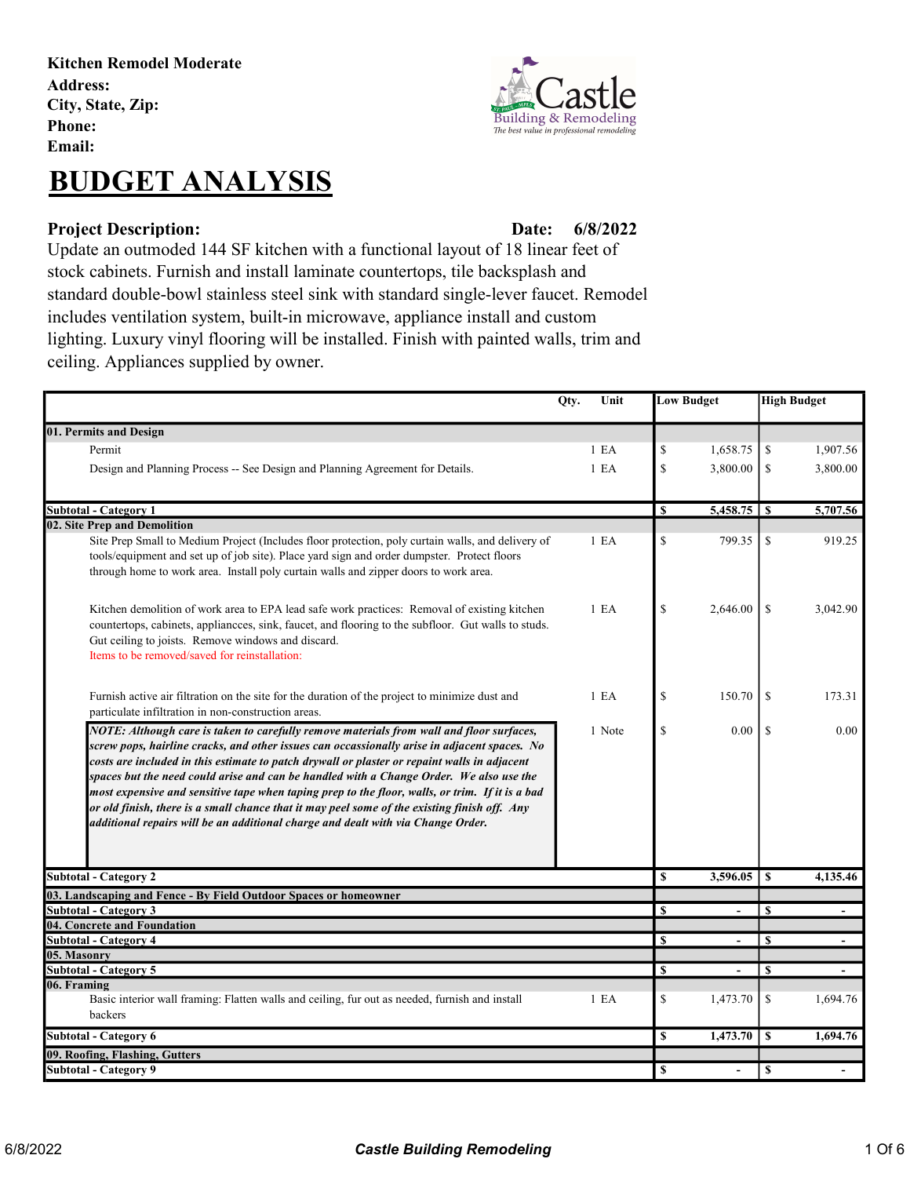Kitchen Remodel Moderate Address: City, State, Zip: Phone: Email:

## BUDGET ANALYSIS

#### Project Description: Date:

Building & Remodeling The best value in professional remodel

### 6/8/2022

Update an outmoded 144 SF kitchen with a functional layout of 18 linear feet of stock cabinets. Furnish and install laminate countertops, tile backsplash and standard double-bowl stainless steel sink with standard single-lever faucet. Remodel includes ventilation system, built-in microwave, appliance install and custom lighting. Luxury vinyl flooring will be installed. Finish with painted walls, trim and ceiling. Appliances supplied by owner.

|                                                                                                                                                                                                  | Qty.<br>Unit     |                         | <b>Low Budget</b> |                  | <b>High Budget</b> |  |
|--------------------------------------------------------------------------------------------------------------------------------------------------------------------------------------------------|------------------|-------------------------|-------------------|------------------|--------------------|--|
| 01. Permits and Design                                                                                                                                                                           |                  |                         |                   |                  |                    |  |
| Permit                                                                                                                                                                                           | 1 E <sub>A</sub> | \$                      | 1,658.75          | \$               | 1,907.56           |  |
| Design and Planning Process -- See Design and Planning Agreement for Details.                                                                                                                    | 1 E <sub>A</sub> | \$                      | 3,800.00          | \$               | 3,800.00           |  |
|                                                                                                                                                                                                  |                  |                         |                   |                  |                    |  |
| <b>Subtotal - Category 1</b>                                                                                                                                                                     |                  | \$                      |                   |                  | 5,707.56           |  |
| 02. Site Prep and Demolition                                                                                                                                                                     |                  |                         |                   |                  |                    |  |
| Site Prep Small to Medium Project (Includes floor protection, poly curtain walls, and delivery of<br>tools/equipment and set up of job site). Place yard sign and order dumpster. Protect floors | 1 E <sub>A</sub> | $\mathcal{S}$           | 799.35            | <sup>\$</sup>    | 919.25             |  |
| through home to work area. Install poly curtain walls and zipper doors to work area.                                                                                                             |                  |                         |                   |                  |                    |  |
|                                                                                                                                                                                                  |                  |                         |                   |                  |                    |  |
| Kitchen demolition of work area to EPA lead safe work practices: Removal of existing kitchen                                                                                                     | 1 E <sub>A</sub> | \$                      | 2,646.00          | <sup>\$</sup>    | 3,042.90           |  |
| countertops, cabinets, appliances, sink, faucet, and flooring to the subfloor. Gut walls to studs.<br>Gut ceiling to joists. Remove windows and discard.                                         |                  |                         |                   |                  |                    |  |
| Items to be removed/saved for reinstallation:                                                                                                                                                    |                  |                         |                   |                  |                    |  |
|                                                                                                                                                                                                  |                  |                         |                   |                  |                    |  |
| Furnish active air filtration on the site for the duration of the project to minimize dust and                                                                                                   | 1 E <sub>A</sub> | \$                      | 150.70            | <sup>\$</sup>    | 173.31             |  |
| particulate infiltration in non-construction areas.                                                                                                                                              |                  |                         |                   |                  |                    |  |
| NOTE: Although care is taken to carefully remove materials from wall and floor surfaces,                                                                                                         | 1 Note           | \$                      | $0.00\,$          | <sup>\$</sup>    | 0.00               |  |
| screw pops, hairline cracks, and other issues can occassionally arise in adjacent spaces. No                                                                                                     |                  |                         |                   |                  |                    |  |
| costs are included in this estimate to patch drywall or plaster or repaint walls in adjacent                                                                                                     |                  |                         |                   |                  |                    |  |
| spaces but the need could arise and can be handled with a Change Order. We also use the                                                                                                          |                  |                         |                   |                  |                    |  |
| most expensive and sensitive tape when taping prep to the floor, walls, or trim. If it is a bad                                                                                                  |                  |                         |                   |                  |                    |  |
| or old finish, there is a small chance that it may peel some of the existing finish off. Any                                                                                                     |                  |                         |                   |                  |                    |  |
| additional repairs will be an additional charge and dealt with via Change Order.                                                                                                                 |                  |                         |                   |                  |                    |  |
|                                                                                                                                                                                                  |                  |                         |                   |                  |                    |  |
|                                                                                                                                                                                                  |                  |                         |                   |                  |                    |  |
| <b>Subtotal - Category 2</b>                                                                                                                                                                     |                  | $\overline{\mathbf{s}}$ | 3,596.05          | <sup>\$</sup>    | 4,135.46           |  |
| 03. Landscaping and Fence - By Field Outdoor Spaces or homeowner                                                                                                                                 |                  |                         |                   |                  |                    |  |
| Subtotal - Category 3                                                                                                                                                                            |                  | $\mathbf{s}$            |                   | $\mathbf{s}$     |                    |  |
| 04. Concrete and Foundation<br><b>Subtotal - Category 4</b>                                                                                                                                      |                  | \$                      |                   | <sup>\$</sup>    |                    |  |
| 05. Masonry                                                                                                                                                                                      |                  |                         |                   |                  |                    |  |
| <b>Subtotal - Category 5</b>                                                                                                                                                                     |                  | \$                      |                   | \$               |                    |  |
| 06. Framing                                                                                                                                                                                      |                  |                         |                   |                  |                    |  |
| Basic interior wall framing: Flatten walls and ceiling, fur out as needed, furnish and install                                                                                                   | 1 E <sub>A</sub> | \$                      | 1,473.70          | \$               | 1,694.76           |  |
| backers                                                                                                                                                                                          |                  |                         |                   |                  |                    |  |
| <b>Subtotal - Category 6</b>                                                                                                                                                                     |                  | <b>S</b>                | 1,473.70          | <sup>\$</sup>    | 1,694.76           |  |
| 09. Roofing, Flashing, Gutters                                                                                                                                                                   |                  |                         |                   |                  |                    |  |
| Subtotal - Category 9                                                                                                                                                                            |                  | <b>S</b>                | $\blacksquare$    | $\boldsymbol{s}$ |                    |  |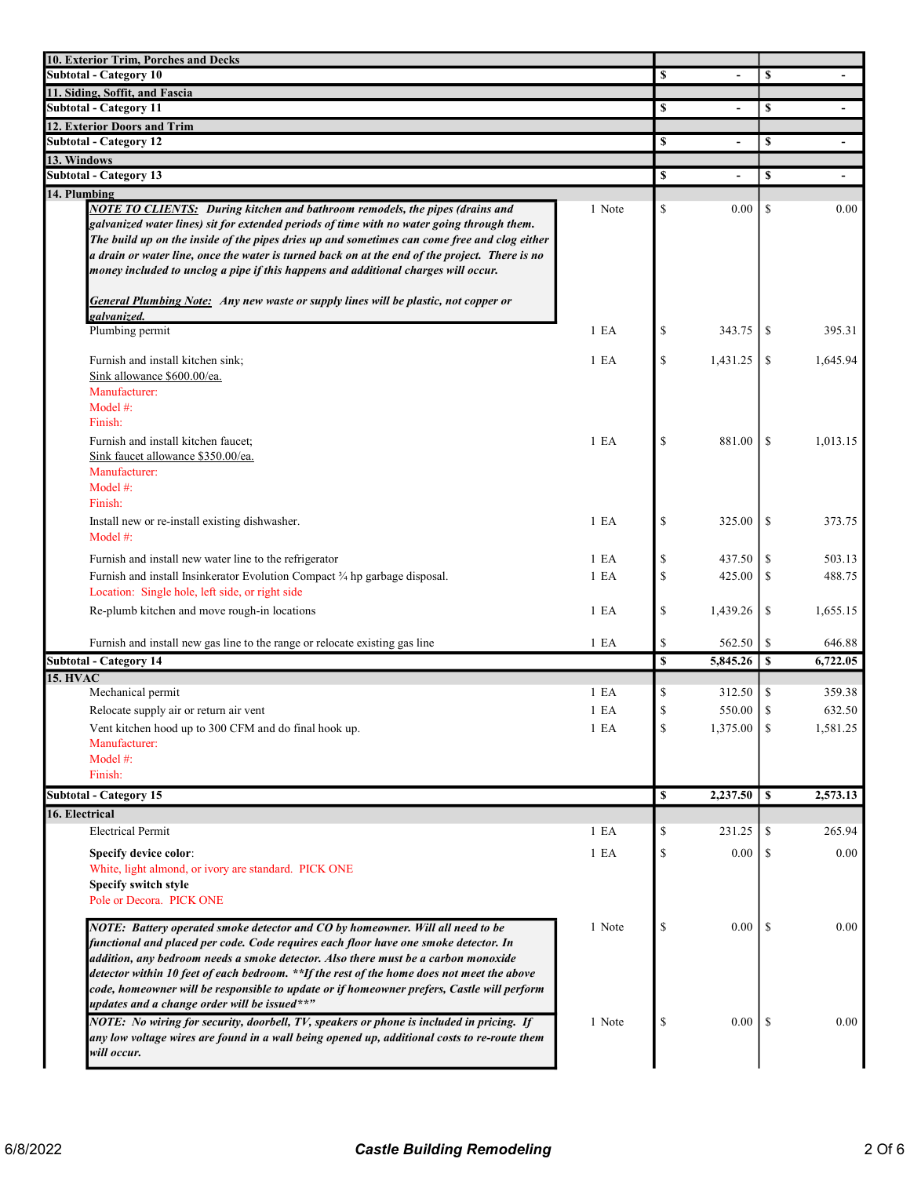| 10. Exterior Trim, Porches and Decks                                                                                                                                                                                                                                                                                                                                                                                                                                                                                                                                    |                  |              |                          |               |                |
|-------------------------------------------------------------------------------------------------------------------------------------------------------------------------------------------------------------------------------------------------------------------------------------------------------------------------------------------------------------------------------------------------------------------------------------------------------------------------------------------------------------------------------------------------------------------------|------------------|--------------|--------------------------|---------------|----------------|
| <b>Subtotal - Category 10</b>                                                                                                                                                                                                                                                                                                                                                                                                                                                                                                                                           |                  | \$           |                          | \$            |                |
| 11. Siding, Soffit, and Fascia<br><b>Subtotal - Category 11</b>                                                                                                                                                                                                                                                                                                                                                                                                                                                                                                         |                  |              |                          |               |                |
|                                                                                                                                                                                                                                                                                                                                                                                                                                                                                                                                                                         |                  | \$           | $\overline{\phantom{a}}$ | \$            | $\blacksquare$ |
| 12. Exterior Doors and Trim<br><b>Subtotal - Category 12</b>                                                                                                                                                                                                                                                                                                                                                                                                                                                                                                            |                  | \$           |                          | \$            | $\blacksquare$ |
| 13. Windows                                                                                                                                                                                                                                                                                                                                                                                                                                                                                                                                                             |                  |              |                          |               |                |
| <b>Subtotal - Category 13</b>                                                                                                                                                                                                                                                                                                                                                                                                                                                                                                                                           |                  | \$           |                          | \$            | $\blacksquare$ |
| 14. Plumbing                                                                                                                                                                                                                                                                                                                                                                                                                                                                                                                                                            |                  |              |                          |               |                |
| <b>NOTE TO CLIENTS:</b> During kitchen and bathroom remodels, the pipes (drains and<br>galvanized water lines) sit for extended periods of time with no water going through them.<br>The build up on the inside of the pipes dries up and sometimes can come free and clog either<br>a drain or water line, once the water is turned back on at the end of the project. There is no<br>money included to unclog a pipe if this happens and additional charges will occur.<br><b>General Plumbing Note:</b> Any new waste or supply lines will be plastic, not copper or | 1 Note           | $\mathbb{S}$ | 0.00                     | \$            | 0.00           |
| galvanized.                                                                                                                                                                                                                                                                                                                                                                                                                                                                                                                                                             |                  |              |                          |               |                |
| Plumbing permit                                                                                                                                                                                                                                                                                                                                                                                                                                                                                                                                                         | 1 E <sub>A</sub> | \$           | 343.75                   | S             | 395.31         |
| Furnish and install kitchen sink;<br>Sink allowance \$600.00/ea.<br>Manufacturer:<br>Model #:<br>Finish:                                                                                                                                                                                                                                                                                                                                                                                                                                                                | 1 E <sub>A</sub> | \$           | 1,431.25                 | \$            | 1,645.94       |
| Furnish and install kitchen faucet;<br>Sink faucet allowance \$350.00/ea.<br>Manufacturer:<br>Model $#$ :<br>Finish:                                                                                                                                                                                                                                                                                                                                                                                                                                                    | $1$ EA           | \$           | 881.00                   | <sup>\$</sup> | 1.013.15       |
| Install new or re-install existing dishwasher.<br>Model #:                                                                                                                                                                                                                                                                                                                                                                                                                                                                                                              | 1 E <sub>A</sub> | \$           | 325.00                   | \$            | 373.75         |
| Furnish and install new water line to the refrigerator                                                                                                                                                                                                                                                                                                                                                                                                                                                                                                                  | $1$ EA           | \$           | 437.50                   | \$            | 503.13         |
| Furnish and install Insinkerator Evolution Compact 3/4 hp garbage disposal.<br>Location: Single hole, left side, or right side                                                                                                                                                                                                                                                                                                                                                                                                                                          | 1 E <sub>A</sub> | \$           | 425.00                   | \$            | 488.75         |
| Re-plumb kitchen and move rough-in locations                                                                                                                                                                                                                                                                                                                                                                                                                                                                                                                            | 1 E A            | \$           | 1,439.26                 | \$            | 1,655.15       |
| Furnish and install new gas line to the range or relocate existing gas line                                                                                                                                                                                                                                                                                                                                                                                                                                                                                             | 1 E A            | \$           | 562.50                   | \$            | 646.88         |
| <b>Subtotal - Category 14</b>                                                                                                                                                                                                                                                                                                                                                                                                                                                                                                                                           |                  | \$           | 5,845.26                 | $\mathbf{s}$  | 6,722.05       |
| <b>15. HVAC</b>                                                                                                                                                                                                                                                                                                                                                                                                                                                                                                                                                         |                  |              |                          |               |                |
| Mechanical permit                                                                                                                                                                                                                                                                                                                                                                                                                                                                                                                                                       | $1$ EA           | \$           | 312.50                   | S             | 359.38         |
| Relocate supply air or return air vent                                                                                                                                                                                                                                                                                                                                                                                                                                                                                                                                  | 1 E <sub>A</sub> | $\mathbb{S}$ | 550.00                   | <sup>\$</sup> | 632.50         |
| Vent kitchen hood up to 300 CFM and do final hook up.                                                                                                                                                                                                                                                                                                                                                                                                                                                                                                                   | 1 E A            | \$           | 1,375.00                 | -S            | 1,581.25       |
| Manufacturer:<br>Model $#$ :<br>Finish:                                                                                                                                                                                                                                                                                                                                                                                                                                                                                                                                 |                  |              |                          |               |                |
| <b>Subtotal - Category 15</b>                                                                                                                                                                                                                                                                                                                                                                                                                                                                                                                                           |                  | <b>S</b>     | 2,237.50                 | $\mathbf{s}$  | 2,573.13       |
| 16. Electrical                                                                                                                                                                                                                                                                                                                                                                                                                                                                                                                                                          |                  |              |                          |               |                |
| <b>Electrical Permit</b>                                                                                                                                                                                                                                                                                                                                                                                                                                                                                                                                                | 1 E A            | \$           | 231.25                   | \$            | 265.94         |
| Specify device color:                                                                                                                                                                                                                                                                                                                                                                                                                                                                                                                                                   | 1 E A            | \$           | 0.00                     | \$            | $0.00\,$       |
| White, light almond, or ivory are standard. PICK ONE<br>Specify switch style<br>Pole or Decora. PICK ONE                                                                                                                                                                                                                                                                                                                                                                                                                                                                |                  |              |                          |               |                |
| NOTE: Battery operated smoke detector and CO by homeowner. Will all need to be<br>functional and placed per code. Code requires each floor have one smoke detector. In<br>addition, any bedroom needs a smoke detector. Also there must be a carbon monoxide<br>detector within 10 feet of each bedroom. **If the rest of the home does not meet the above<br>code, homeowner will be responsible to update or if homeowner prefers, Castle will perform<br>updates and a change order will be issued**"                                                                | 1 Note           | \$           | 0.00                     | -S            | 0.00           |
| NOTE: No wiring for security, doorbell, TV, speakers or phone is included in pricing. If<br>any low voltage wires are found in a wall being opened up, additional costs to re-route them<br>will occur.                                                                                                                                                                                                                                                                                                                                                                 | 1 Note           | \$           | $0.00$   \$              |               | 0.00           |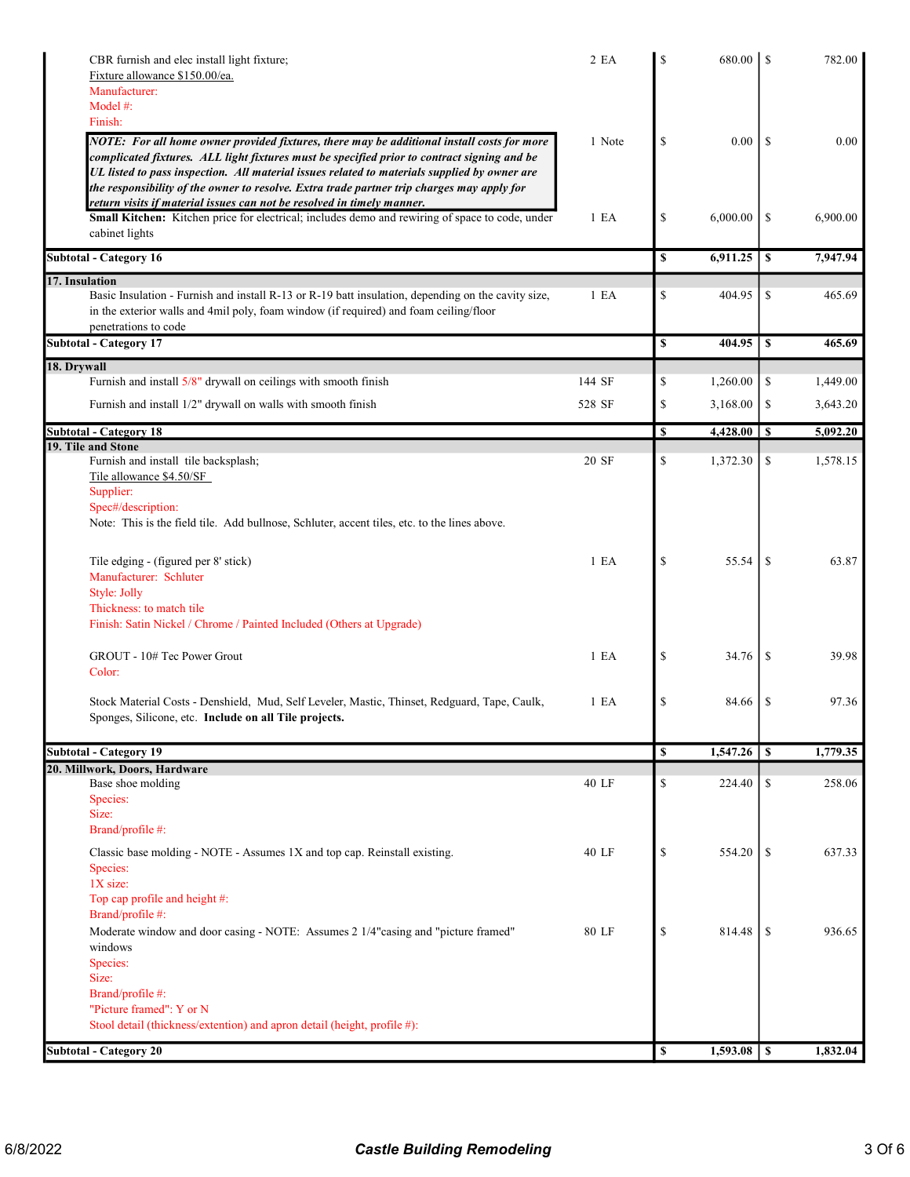| CBR furnish and elec install light fixture;<br>Fixture allowance \$150.00/ea.<br>Manufacturer:<br>Model $#$ :<br>Finish:                                                                                                                                                                                                                                                                                                                                          | 2 EA             | <sup>\$</sup> | 680.00   | -S            | 782.00   |
|-------------------------------------------------------------------------------------------------------------------------------------------------------------------------------------------------------------------------------------------------------------------------------------------------------------------------------------------------------------------------------------------------------------------------------------------------------------------|------------------|---------------|----------|---------------|----------|
| NOTE: For all home owner provided fixtures, there may be additional install costs for more<br>complicated fixtures. ALL light fixtures must be specified prior to contract signing and be<br>UL listed to pass inspection. All material issues related to materials supplied by owner are<br>the responsibility of the owner to resolve. Extra trade partner trip charges may apply for<br>return visits if material issues can not be resolved in timely manner. | 1 Note           | \$            | 0.00     | <sup>\$</sup> | 0.00     |
| Small Kitchen: Kitchen price for electrical; includes demo and rewiring of space to code, under<br>cabinet lights                                                                                                                                                                                                                                                                                                                                                 | 1 E A            | \$            | 6,000.00 | <sup>\$</sup> | 6,900.00 |
| <b>Subtotal - Category 16</b>                                                                                                                                                                                                                                                                                                                                                                                                                                     |                  | $\mathbf S$   | 6,911.25 | \$            | 7,947.94 |
| 17. Insulation<br>Basic Insulation - Furnish and install R-13 or R-19 batt insulation, depending on the cavity size,<br>in the exterior walls and 4mil poly, foam window (if required) and foam ceiling/floor<br>penetrations to code                                                                                                                                                                                                                             | 1 E A            | \$            | 404.95   | \$            | 465.69   |
| <b>Subtotal - Category 17</b>                                                                                                                                                                                                                                                                                                                                                                                                                                     |                  | \$            | 404.95   | $\mathbf s$   | 465.69   |
| 18. Drywall<br>Furnish and install 5/8" drywall on ceilings with smooth finish                                                                                                                                                                                                                                                                                                                                                                                    | 144 SF           | \$            | 1,260.00 | \$            | 1,449.00 |
| Furnish and install 1/2" drywall on walls with smooth finish                                                                                                                                                                                                                                                                                                                                                                                                      | 528 SF           | \$            | 3,168.00 | \$            | 3,643.20 |
|                                                                                                                                                                                                                                                                                                                                                                                                                                                                   |                  |               |          |               |          |
| Subtotal - Category 18<br>19. Tile and Stone                                                                                                                                                                                                                                                                                                                                                                                                                      |                  | <b>S</b>      | 4,428.00 | \$            | 5,092.20 |
| Furnish and install tile backsplash;<br>Tile allowance \$4.50/SF<br>Supplier:<br>Spec#/description:                                                                                                                                                                                                                                                                                                                                                               | 20 SF            | \$            | 1,372.30 | \$            | 1,578.15 |
| Note: This is the field tile. Add bullnose, Schluter, accent tiles, etc. to the lines above.                                                                                                                                                                                                                                                                                                                                                                      |                  |               |          |               |          |
| Tile edging - (figured per 8' stick)<br>Manufacturer: Schluter<br>Style: Jolly                                                                                                                                                                                                                                                                                                                                                                                    | 1 E <sub>A</sub> | \$            | 55.54    | -S            | 63.87    |
| Thickness: to match tile<br>Finish: Satin Nickel / Chrome / Painted Included (Others at Upgrade)                                                                                                                                                                                                                                                                                                                                                                  |                  |               |          |               |          |
| GROUT - 10# Tec Power Grout<br>Color:                                                                                                                                                                                                                                                                                                                                                                                                                             | 1 E A            | \$            | 34.76    | <sup>\$</sup> | 39.98    |
| Stock Material Costs - Denshield, Mud, Self Leveler, Mastic, Thinset, Redguard, Tape, Caulk,<br>Sponges, Silicone, etc. Include on all Tile projects.                                                                                                                                                                                                                                                                                                             | 1 E A            | \$            | 84.66    | S             | 97.36    |
| <b>Subtotal - Category 19</b>                                                                                                                                                                                                                                                                                                                                                                                                                                     |                  | \$            | 1,547.26 | <sup>\$</sup> | 1,779.35 |
| 20. Millwork, Doors, Hardware                                                                                                                                                                                                                                                                                                                                                                                                                                     | 40 LF            |               |          |               |          |
| Base shoe molding<br>Species:<br>Size:<br>Brand/profile #:                                                                                                                                                                                                                                                                                                                                                                                                        |                  | $\mathbb{S}$  | 224.40   | \$            | 258.06   |
| Classic base molding - NOTE - Assumes 1X and top cap. Reinstall existing.<br>Species:<br>1X size:<br>Top cap profile and height #:<br>Brand/profile #:                                                                                                                                                                                                                                                                                                            | 40 LF            | \$            | 554.20   | \$            | 637.33   |
| Moderate window and door casing - NOTE: Assumes 2 1/4"casing and "picture framed"<br>windows<br>Species:<br>Size:                                                                                                                                                                                                                                                                                                                                                 | 80 LF            | \$            | 814.48   | -S            | 936.65   |
| Brand/profile #:<br>"Picture framed": Y or N<br>Stool detail (thickness/extention) and apron detail (height, profile #):                                                                                                                                                                                                                                                                                                                                          |                  |               |          |               |          |
| <b>Subtotal - Category 20</b>                                                                                                                                                                                                                                                                                                                                                                                                                                     |                  | <b>S</b>      | 1,593.08 | $\mathbf{s}$  | 1,832.04 |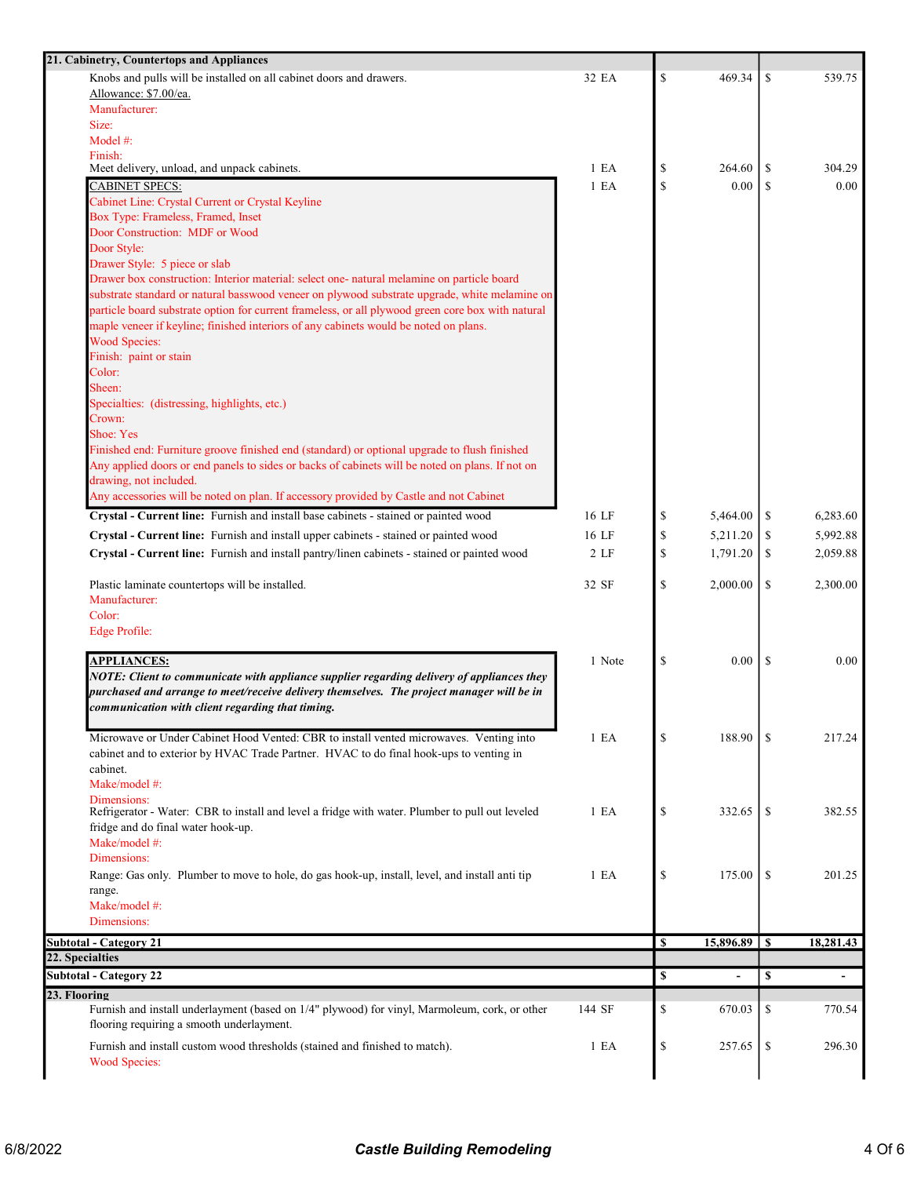| 21. Cabinetry, Countertops and Appliances                                                         |        |              |           |     |                          |
|---------------------------------------------------------------------------------------------------|--------|--------------|-----------|-----|--------------------------|
| Knobs and pulls will be installed on all cabinet doors and drawers.                               | 32 EA  | \$           | 469.34    | \$  | 539.75                   |
| Allowance: \$7.00/ea.                                                                             |        |              |           |     |                          |
| Manufacturer:                                                                                     |        |              |           |     |                          |
| Size:                                                                                             |        |              |           |     |                          |
| Model #:<br>Finish:                                                                               |        |              |           |     |                          |
| Meet delivery, unload, and unpack cabinets.                                                       | 1 E A  | \$           | 264.60    | \$  | 304.29                   |
| CABINET SPECS:                                                                                    | 1 E A  | \$           | 0.00      | \$  | 0.00                     |
| Cabinet Line: Crystal Current or Crystal Keyline                                                  |        |              |           |     |                          |
| Box Type: Frameless, Framed, Inset                                                                |        |              |           |     |                          |
| Door Construction: MDF or Wood                                                                    |        |              |           |     |                          |
| Door Style:                                                                                       |        |              |           |     |                          |
| Drawer Style: 5 piece or slab                                                                     |        |              |           |     |                          |
| Drawer box construction: Interior material: select one- natural melamine on particle board        |        |              |           |     |                          |
| substrate standard or natural basswood veneer on plywood substrate upgrade, white melamine on     |        |              |           |     |                          |
| particle board substrate option for current frameless, or all plywood green core box with natural |        |              |           |     |                          |
| maple veneer if keyline; finished interiors of any cabinets would be noted on plans.              |        |              |           |     |                          |
| <b>Wood Species:</b><br>Finish: paint or stain                                                    |        |              |           |     |                          |
| Color:                                                                                            |        |              |           |     |                          |
| Sheen:                                                                                            |        |              |           |     |                          |
| Specialties: (distressing, highlights, etc.)                                                      |        |              |           |     |                          |
| Crown:                                                                                            |        |              |           |     |                          |
| Shoe: Yes                                                                                         |        |              |           |     |                          |
| Finished end: Furniture groove finished end (standard) or optional upgrade to flush finished      |        |              |           |     |                          |
| Any applied doors or end panels to sides or backs of cabinets will be noted on plans. If not on   |        |              |           |     |                          |
| drawing, not included.                                                                            |        |              |           |     |                          |
| Any accessories will be noted on plan. If accessory provided by Castle and not Cabinet            |        |              |           |     |                          |
| Crystal - Current line: Furnish and install base cabinets - stained or painted wood               | 16 LF  | \$           | 5,464.00  | -S  | 6,283.60                 |
| Crystal - Current line: Furnish and install upper cabinets - stained or painted wood              | 16 LF  | \$           | 5,211.20  | \$  | 5,992.88                 |
| Crystal - Current line: Furnish and install pantry/linen cabinets - stained or painted wood       | 2 LF   | \$           | 1,791.20  | \$  | 2,059.88                 |
|                                                                                                   |        |              |           |     |                          |
| Plastic laminate countertops will be installed.                                                   | 32 SF  | $\mathbb{S}$ | 2,000.00  | \$  | 2,300.00                 |
| Manufacturer:                                                                                     |        |              |           |     |                          |
| Color:                                                                                            |        |              |           |     |                          |
| Edge Profile:                                                                                     |        |              |           |     |                          |
|                                                                                                   |        |              |           |     |                          |
| <b>APPLIANCES:</b>                                                                                | 1 Note | \$           | 0.00      | -S  | 0.00                     |
| NOTE: Client to communicate with appliance supplier regarding delivery of appliances they         |        |              |           |     |                          |
| purchased and arrange to meet/receive delivery themselves. The project manager will be in         |        |              |           |     |                          |
| communication with client regarding that timing.                                                  |        |              |           |     |                          |
| Microwave or Under Cabinet Hood Vented: CBR to install vented microwaves. Venting into            | 1 E A  | \$           | 188.90    | S   | 217.24                   |
| cabinet and to exterior by HVAC Trade Partner. HVAC to do final hook-ups to venting in            |        |              |           |     |                          |
| cabinet.                                                                                          |        |              |           |     |                          |
| Make/model #:                                                                                     |        |              |           |     |                          |
| Dimensions:                                                                                       |        |              |           |     |                          |
| Refrigerator - Water: CBR to install and level a fridge with water. Plumber to pull out leveled   | 1 E A  | \$           | 332.65    | -S  | 382.55                   |
| fridge and do final water hook-up.                                                                |        |              |           |     |                          |
| Make/model #:                                                                                     |        |              |           |     |                          |
| Dimensions:                                                                                       |        |              |           |     |                          |
| Range: Gas only. Plumber to move to hole, do gas hook-up, install, level, and install anti tip    | 1 E A  | \$           | 175.00    | \$  | 201.25                   |
| range.                                                                                            |        |              |           |     |                          |
| Make/model #:                                                                                     |        |              |           |     |                          |
| Dimensions:                                                                                       |        |              |           |     |                          |
| <b>Subtotal - Category 21</b>                                                                     |        | <b>S</b>     | 15,896.89 | l S | 18,281.43                |
| 22. Specialties                                                                                   |        |              |           |     |                          |
| <b>Subtotal - Category 22</b>                                                                     |        | \$           | ä,        | \$  | $\overline{\phantom{0}}$ |
| 23. Flooring                                                                                      |        |              |           |     |                          |
| Furnish and install underlayment (based on 1/4" plywood) for vinyl, Marmoleum, cork, or other     | 144 SF | \$           | 670.03    | \$  | 770.54                   |
| flooring requiring a smooth underlayment.                                                         |        |              |           |     |                          |
| Furnish and install custom wood thresholds (stained and finished to match).                       | 1 E A  | \$           | 257.65    | \$  | 296.30                   |
| <b>Wood Species:</b>                                                                              |        |              |           |     |                          |
|                                                                                                   |        |              |           |     |                          |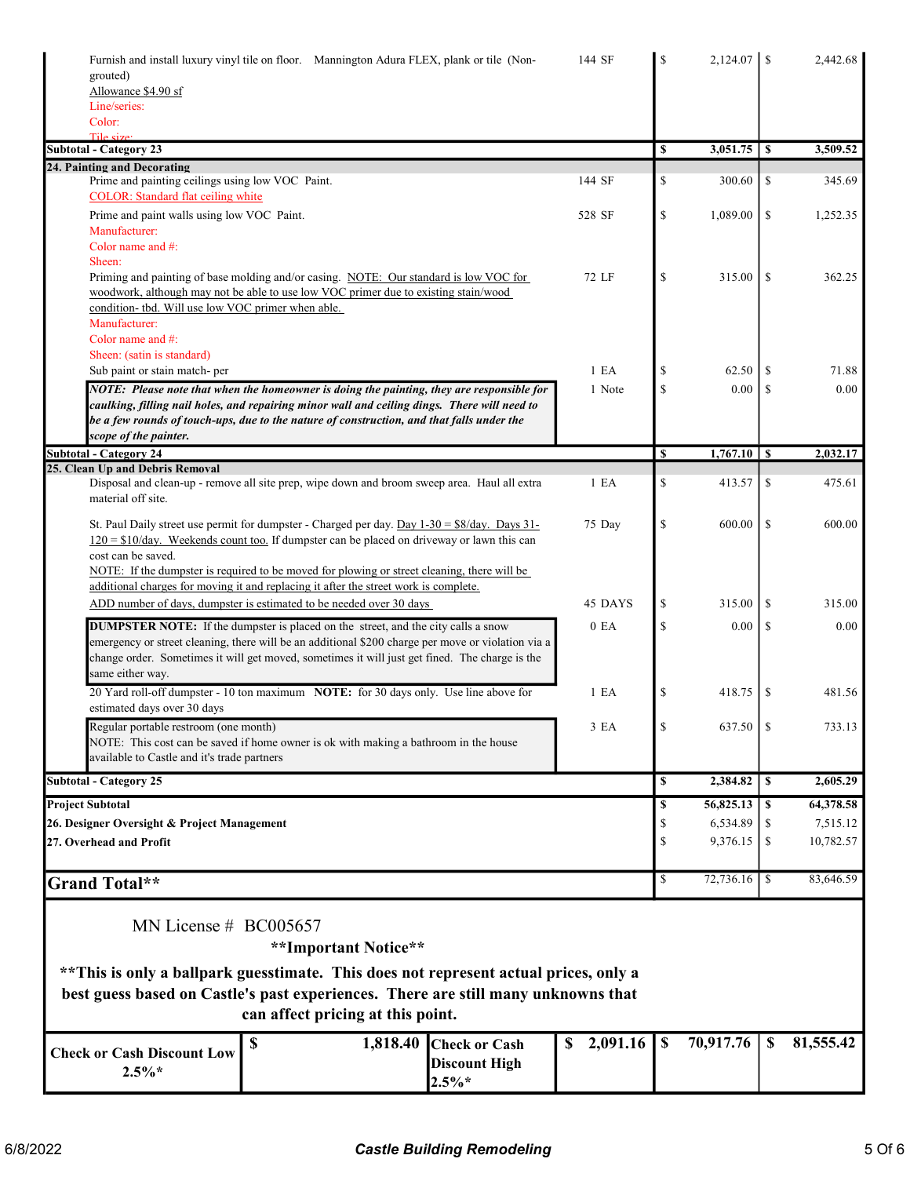| Furnish and install luxury vinyl tile on floor. Mannington Adura FLEX, plank or tile (Non-<br>grouted)                                                                                                                                                                                                                        | 144 SF           | S                         | 2,124.07  |            | 2,442.68  |
|-------------------------------------------------------------------------------------------------------------------------------------------------------------------------------------------------------------------------------------------------------------------------------------------------------------------------------|------------------|---------------------------|-----------|------------|-----------|
| Allowance \$4.90 sf                                                                                                                                                                                                                                                                                                           |                  |                           |           |            |           |
| Line/series:<br>Color:                                                                                                                                                                                                                                                                                                        |                  |                           |           |            |           |
| Tile size:                                                                                                                                                                                                                                                                                                                    |                  |                           |           |            |           |
| <b>Subtotal - Category 23</b>                                                                                                                                                                                                                                                                                                 |                  | S                         | 3,051.75  | <b>S</b>   | 3,509.52  |
| 24. Painting and Decorating<br>Prime and painting ceilings using low VOC Paint.<br><b>COLOR:</b> Standard flat ceiling white                                                                                                                                                                                                  | 144 SF           | \$                        | 300.60    | \$         | 345.69    |
| Prime and paint walls using low VOC Paint.                                                                                                                                                                                                                                                                                    | 528 SF           | \$                        | 1,089.00  | \$         | 1,252.35  |
| Manufacturer:<br>Color name and $#$ :<br>Sheen:                                                                                                                                                                                                                                                                               |                  |                           |           |            |           |
| Priming and painting of base molding and/or casing. NOTE: Our standard is low VOC for<br>woodwork, although may not be able to use low VOC primer due to existing stain/wood<br>condition- tbd. Will use low VOC primer when able.                                                                                            | 72 LF            | \$                        | 315.00    | \$         | 362.25    |
| Manufacturer:<br>Color name and $#$ :                                                                                                                                                                                                                                                                                         |                  |                           |           |            |           |
| Sheen: (satin is standard)                                                                                                                                                                                                                                                                                                    |                  |                           |           |            |           |
| Sub paint or stain match- per                                                                                                                                                                                                                                                                                                 | 1 E <sub>A</sub> | \$                        | 62.50     | S          | 71.88     |
| NOTE: Please note that when the homeowner is doing the painting, they are responsible for<br>caulking, filling nail holes, and repairing minor wall and ceiling dings. There will need to<br>be a few rounds of touch-ups, due to the nature of construction, and that falls under the<br>scope of the painter.               | 1 Note           | $\mathbb{S}$              | 0.00      | S          | 0.00      |
| Subtotal - Category 24                                                                                                                                                                                                                                                                                                        |                  | <sup>\$</sup>             |           |            | 2,032.17  |
| 25. Clean Up and Debris Removal                                                                                                                                                                                                                                                                                               |                  |                           |           |            |           |
| Disposal and clean-up - remove all site prep, wipe down and broom sweep area. Haul all extra<br>material off site.                                                                                                                                                                                                            | 1 E A            | \$                        | 413.57    | \$         | 475.61    |
| St. Paul Daily street use permit for dumpster - Charged per day. Day $1-30 = $8/\text{day}$ . Days $31-$<br>$120 = $10/day$ . Weekends count too. If dumpster can be placed on driveway or lawn this can<br>cost can be saved.<br>NOTE: If the dumpster is required to be moved for plowing or street cleaning, there will be | 75 Day           | \$                        | 600.00    | \$         | 600.00    |
| additional charges for moving it and replacing it after the street work is complete.                                                                                                                                                                                                                                          |                  |                           |           |            |           |
| ADD number of days, dumpster is estimated to be needed over 30 days                                                                                                                                                                                                                                                           | 45 DAYS          | \$                        | 315.00    | \$         | 315.00    |
| <b>DUMPSTER NOTE:</b> If the dumpster is placed on the street, and the city calls a snow<br>emergency or street cleaning, there will be an additional \$200 charge per move or violation via a<br>change order. Sometimes it will get moved, sometimes it will just get fined. The charge is the<br>same either way.          | 0 E <sub>A</sub> | \$                        | 0.00      | \$         | 0.00      |
| 20 Yard roll-off dumpster - 10 ton maximum NOTE: for 30 days only. Use line above for<br>estimated days over 30 days                                                                                                                                                                                                          | 1 E A            | \$                        | 418.75    | \$         | 481.56    |
| Regular portable restroom (one month)<br>NOTE: This cost can be saved if home owner is ok with making a bathroom in the house                                                                                                                                                                                                 | 3 EA             | \$                        | 637.50    | S          | 733.13    |
| available to Castle and it's trade partners                                                                                                                                                                                                                                                                                   |                  |                           |           |            |           |
| <b>Subtotal - Category 25</b>                                                                                                                                                                                                                                                                                                 |                  | S                         | 2,384.82  | $\sqrt{S}$ | 2,605.29  |
| <b>Project Subtotal</b>                                                                                                                                                                                                                                                                                                       |                  | S                         | 56,825.13 | - \$       | 64,378.58 |
| 26. Designer Oversight & Project Management                                                                                                                                                                                                                                                                                   |                  | \$                        | 6,534.89  | \$         | 7,515.12  |
| 27. Overhead and Profit                                                                                                                                                                                                                                                                                                       |                  | \$                        | 9,376.15  | \$         | 10,782.57 |
| Grand Total**                                                                                                                                                                                                                                                                                                                 |                  | \$                        |           |            | 83,646.59 |
| MN License $#$ BC005657                                                                                                                                                                                                                                                                                                       |                  |                           |           |            |           |
| **Important Notice**                                                                                                                                                                                                                                                                                                          |                  |                           |           |            |           |
|                                                                                                                                                                                                                                                                                                                               |                  |                           |           |            |           |
| can affect pricing at this point.                                                                                                                                                                                                                                                                                             |                  |                           |           |            |           |
| \$<br>1,818.40<br><b>Check or Cash</b><br><b>Check or Cash Discount Low</b><br><b>Discount High</b><br>$2.5\%*$                                                                                                                                                                                                               | 2,091.16<br>\$   | $\boldsymbol{\mathsf{s}}$ | 70,917.76 | \$         | 81,555.42 |
| ** This is only a ballpark guesstimate. This does not represent actual prices, only a<br>best guess based on Castle's past experiences. There are still many unknowns that<br>$2.5\%*$                                                                                                                                        |                  |                           |           |            |           |